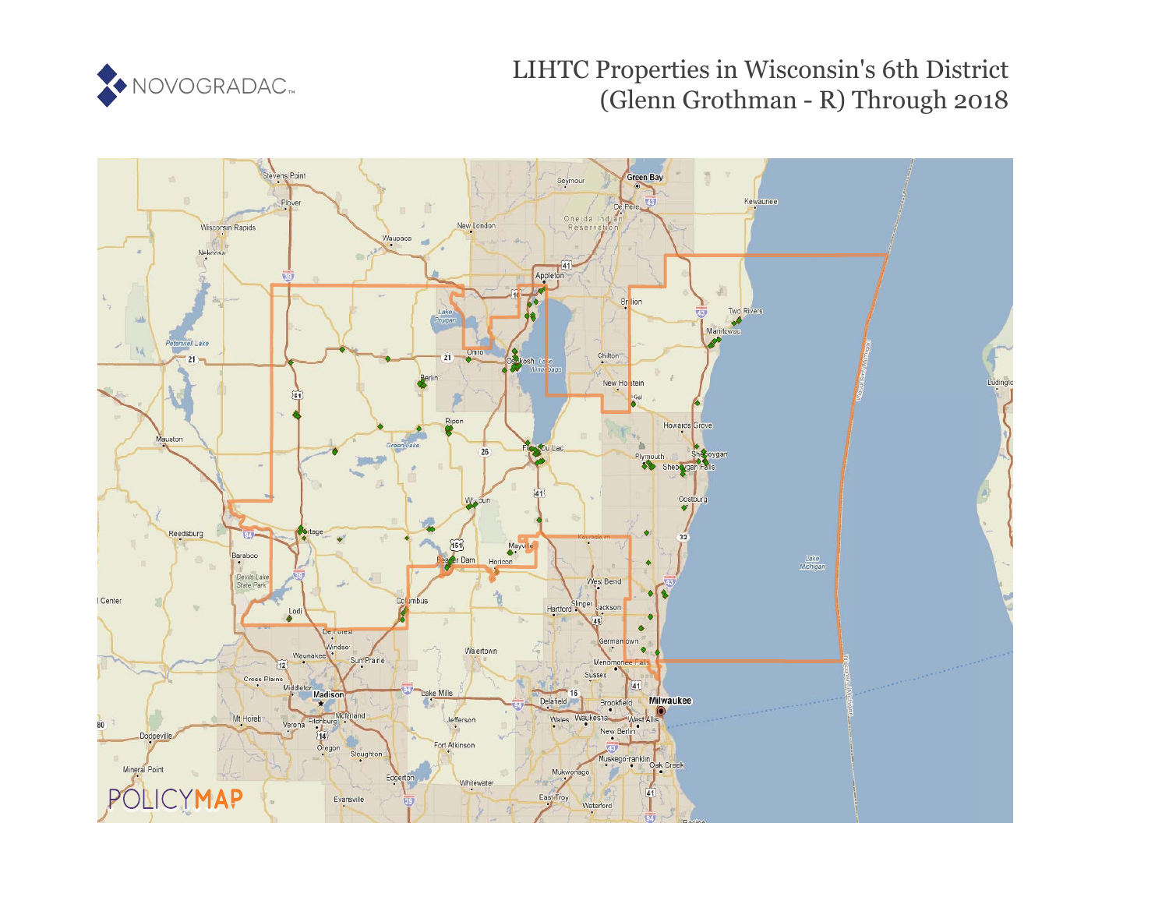

# LIHTC Properties in Wisconsin's 6th District (Glenn Grothman - R) Through 2018

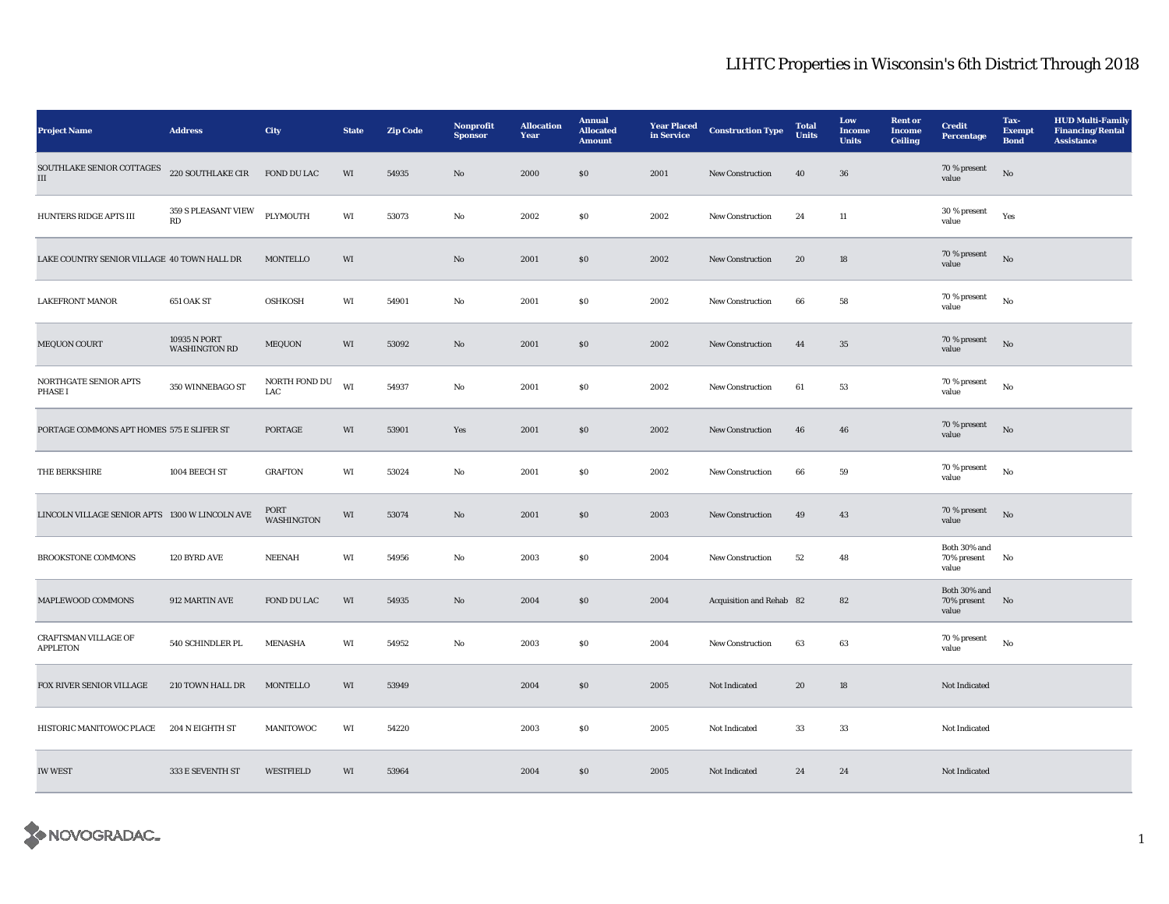| <b>Project Name</b>                            | <b>Address</b>                       | <b>City</b>               | <b>State</b> | <b>Zip Code</b> | Nonprofit<br><b>Sponsor</b> | <b>Allocation</b><br>Year | <b>Annual</b><br><b>Allocated</b><br><b>Amount</b> | <b>Year Placed</b><br>in Service | <b>Construction Type</b> | <b>Total</b><br><b>Units</b> | Low<br><b>Income</b><br><b>Units</b> | <b>Rent</b> or<br><b>Income</b><br><b>Ceiling</b> | <b>Credit</b><br><b>Percentage</b>      | Tax-<br><b>Exempt</b><br><b>Bond</b> | <b>HUD Multi-Family</b><br><b>Financing/Rental</b><br><b>Assistance</b> |
|------------------------------------------------|--------------------------------------|---------------------------|--------------|-----------------|-----------------------------|---------------------------|----------------------------------------------------|----------------------------------|--------------------------|------------------------------|--------------------------------------|---------------------------------------------------|-----------------------------------------|--------------------------------------|-------------------------------------------------------------------------|
| SOUTHLAKE SENIOR COTTAGES<br>Ш                 | 220 SOUTHLAKE CIR                    | FOND DU LAC               | WI           | 54935           | No                          | 2000                      | \$0                                                | 2001                             | <b>New Construction</b>  | 40                           | 36                                   |                                                   | 70 % present<br>value                   | No                                   |                                                                         |
| HUNTERS RIDGE APTS III                         | 359 S PLEASANT VIEW<br>RD            | PLYMOUTH                  | WI           | 53073           | No                          | 2002                      | <b>SO</b>                                          | 2002                             | New Construction         | 24                           | $11\,$                               |                                                   | 30 % present<br>value                   | Yes                                  |                                                                         |
| LAKE COUNTRY SENIOR VILLAGE 40 TOWN HALL DR    |                                      | <b>MONTELLO</b>           | WI           |                 | No                          | 2001                      | \$0\$                                              | 2002                             | New Construction         | 20                           | 18                                   |                                                   | 70 % present<br>value                   | $_{\rm No}$                          |                                                                         |
| <b>LAKEFRONT MANOR</b>                         | 651 OAK ST                           | <b>OSHKOSH</b>            | WI           | 54901           | No                          | 2001                      | \$0\$                                              | 2002                             | New Construction         | 66                           | 58                                   |                                                   | 70 % present<br>value                   | No                                   |                                                                         |
| MEQUON COURT                                   | 10935 N PORT<br><b>WASHINGTON RD</b> | MEQUON                    | WI           | 53092           | No                          | 2001                      | \$0\$                                              | 2002                             | <b>New Construction</b>  | 44                           | 35                                   |                                                   | 70 % present<br>value                   | $\rm No$                             |                                                                         |
| NORTHGATE SENIOR APTS<br>PHASE I               | 350 WINNEBAGO ST                     | NORTH FOND DU<br>LAC      | WI           | 54937           | $_{\rm No}$                 | 2001                      | $\$0$                                              | 2002                             | New Construction         | 61                           | 53                                   |                                                   | 70 % present<br>value                   | $_{\rm No}$                          |                                                                         |
| PORTAGE COMMONS APT HOMES 575 E SLIFER ST      |                                      | PORTAGE                   | WI           | 53901           | Yes                         | 2001                      | \$0\$                                              | 2002                             | New Construction         | 46                           | 46                                   |                                                   | 70 % present<br>value                   | No                                   |                                                                         |
| THE BERKSHIRE                                  | 1004 BEECH ST                        | <b>GRAFTON</b>            | WI           | 53024           | No                          | 2001                      | \$0\$                                              | 2002                             | New Construction         | 66                           | 59                                   |                                                   | 70 % present<br>value                   | $\mathbf{No}$                        |                                                                         |
| LINCOLN VILLAGE SENIOR APTS 1300 W LINCOLN AVE |                                      | PORT<br><b>WASHINGTON</b> | WI           | 53074           | No                          | 2001                      | $\boldsymbol{\mathsf{S}}\boldsymbol{\mathsf{0}}$   | 2003                             | New Construction         | 49                           | 43                                   |                                                   | 70 % present<br>value                   | $_{\rm No}$                          |                                                                         |
| <b>BROOKSTONE COMMONS</b>                      | 120 BYRD AVE                         | <b>NEENAH</b>             | WI           | 54956           | No                          | 2003                      | \$0\$                                              | 2004                             | <b>New Construction</b>  | 52                           | 48                                   |                                                   | Both 30% and<br>70% present No<br>value |                                      |                                                                         |
| MAPLEWOOD COMMONS                              | 912 MARTIN AVE                       | FOND DU LAC               | WI           | 54935           | $\mathbf{N}\mathbf{o}$      | 2004                      | \$0\$                                              | 2004                             | Acquisition and Rehab 82 |                              | 82                                   |                                                   | Both 30% and<br>70% present<br>value    | No                                   |                                                                         |
| CRAFTSMAN VILLAGE OF<br><b>APPLETON</b>        | 540 SCHINDLER PL                     | <b>MENASHA</b>            | WI           | 54952           | No                          | 2003                      | <b>SO</b>                                          | 2004                             | <b>New Construction</b>  | 63                           | 63                                   |                                                   | 70 % present<br>value                   | No                                   |                                                                         |
| FOX RIVER SENIOR VILLAGE                       | 210 TOWN HALL DR                     | <b>MONTELLO</b>           | WI           | 53949           |                             | 2004                      | $\$0$                                              | 2005                             | Not Indicated            | 20                           | 18                                   |                                                   | Not Indicated                           |                                      |                                                                         |
| HISTORIC MANITOWOC PLACE                       | 204 N EIGHTH ST                      | MANITOWOC                 | WI           | 54220           |                             | 2003                      | \$0\$                                              | 2005                             | Not Indicated            | 33                           | 33                                   |                                                   | Not Indicated                           |                                      |                                                                         |
| <b>IW WEST</b>                                 | 333 E SEVENTH ST                     | <b>WESTFIELD</b>          | WI           | 53964           |                             | 2004                      | \$0\$                                              | 2005                             | Not Indicated            | 24                           | 24                                   |                                                   | Not Indicated                           |                                      |                                                                         |

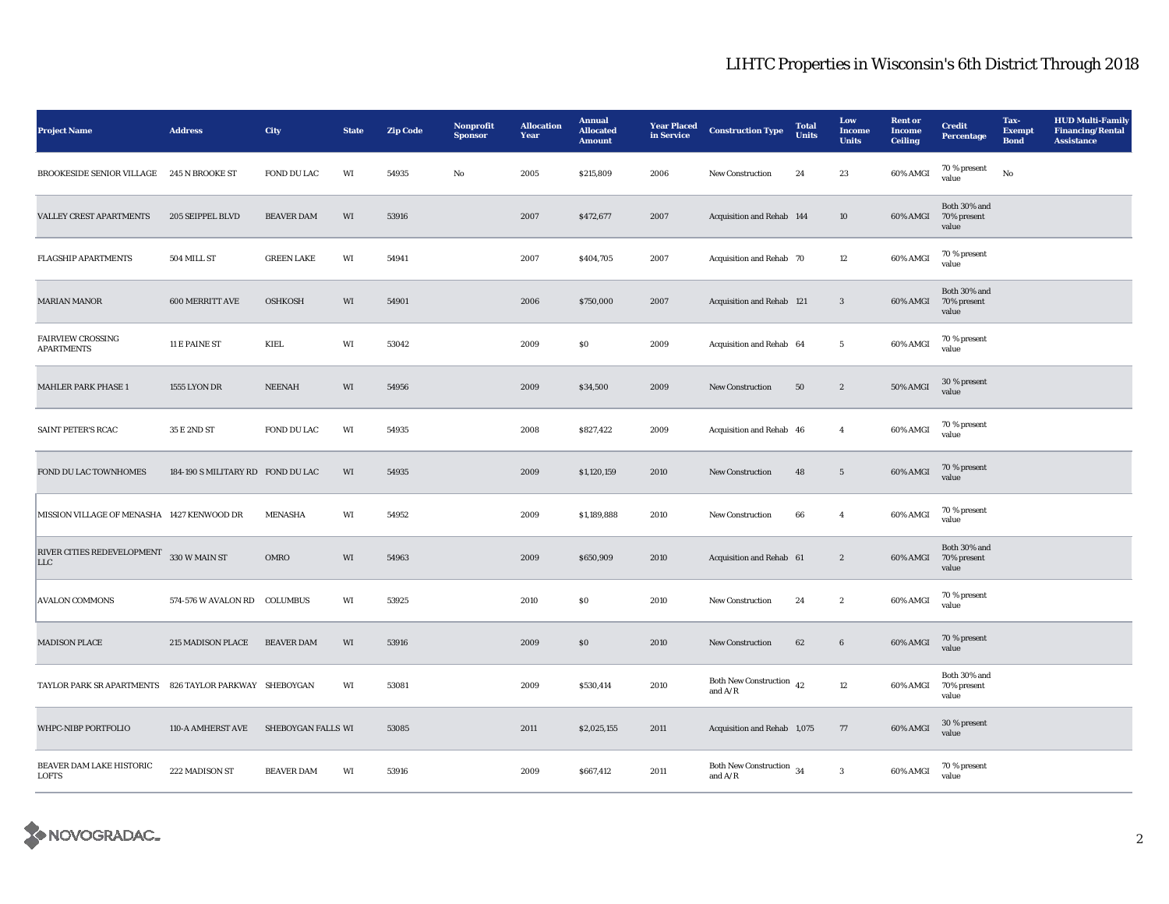| <b>Project Name</b>                                    | <b>Address</b>                    | City               | <b>State</b> | <b>Zip Code</b> | Nonprofit<br><b>Sponsor</b> | <b>Allocation</b><br>Year | <b>Annual</b><br><b>Allocated</b><br><b>Amount</b> | <b>Year Placed</b><br>in Service | <b>Construction Type</b>                                              | <b>Total</b><br><b>Units</b> | Low<br>Income<br><b>Units</b> | <b>Rent</b> or<br>Income<br><b>Ceiling</b> | <b>Credit</b><br><b>Percentage</b>   | Tax-<br><b>Exempt</b><br><b>Bond</b> | <b>HUD Multi-Family</b><br><b>Financing/Rental</b><br><b>Assistance</b> |
|--------------------------------------------------------|-----------------------------------|--------------------|--------------|-----------------|-----------------------------|---------------------------|----------------------------------------------------|----------------------------------|-----------------------------------------------------------------------|------------------------------|-------------------------------|--------------------------------------------|--------------------------------------|--------------------------------------|-------------------------------------------------------------------------|
| BROOKESIDE SENIOR VILLAGE 245 N BROOKE ST              |                                   | FOND DU LAC        | WI           | 54935           | No                          | 2005                      | \$215,809                                          | 2006                             | <b>New Construction</b>                                               | 24                           | 23                            | 60% AMGI                                   | 70 % present<br>value                | No                                   |                                                                         |
| <b>VALLEY CREST APARTMENTS</b>                         | 205 SEIPPEL BLVD                  | <b>BEAVER DAM</b>  | WI           | 53916           |                             | 2007                      | \$472,677                                          | 2007                             | Acquisition and Rehab 144                                             |                              | 10                            | 60% AMGI                                   | Both 30% and<br>70% present<br>value |                                      |                                                                         |
| <b>FLAGSHIP APARTMENTS</b>                             | 504 MILL ST                       | <b>GREEN LAKE</b>  | WI           | 54941           |                             | 2007                      | \$404,705                                          | 2007                             | Acquisition and Rehab 70                                              |                              | 12                            | 60% AMGI                                   | 70 % present<br>value                |                                      |                                                                         |
| <b>MARIAN MANOR</b>                                    | 600 MERRITT AVE                   | <b>OSHKOSH</b>     | WI           | 54901           |                             | 2006                      | \$750,000                                          | 2007                             | Acquisition and Rehab 121                                             |                              | $\mathbf{3}$                  | $60\%$ AMGI                                | Both 30% and<br>70% present<br>value |                                      |                                                                         |
| <b>FAIRVIEW CROSSING</b><br><b>APARTMENTS</b>          | 11 E PAINE ST                     | KIEL               | WI           | 53042           |                             | 2009                      | $\boldsymbol{\mathsf{S}}\boldsymbol{\mathsf{0}}$   | 2009                             | Acquisition and Rehab 64                                              |                              | $5\phantom{.0}$               | 60% AMGI                                   | 70 % present<br>value                |                                      |                                                                         |
| MAHLER PARK PHASE 1                                    | <b>1555 LYON DR</b>               | <b>NEENAH</b>      | WI           | 54956           |                             | 2009                      | \$34,500                                           | 2009                             | <b>New Construction</b>                                               | ${\bf 50}$                   | $\boldsymbol{2}$              | 50% AMGI                                   | 30 % present<br>value                |                                      |                                                                         |
| SAINT PETER'S RCAC                                     | 35 E 2ND ST                       | FOND DU LAC        | WI           | 54935           |                             | 2008                      | \$827,422                                          | 2009                             | Acquisition and Rehab 46                                              |                              | $\overline{4}$                | 60% AMGI                                   | 70 % present<br>value                |                                      |                                                                         |
| FOND DU LAC TOWNHOMES                                  | 184-190 S MILITARY RD FOND DU LAC |                    | WI           | 54935           |                             | 2009                      | \$1,120,159                                        | 2010                             | New Construction                                                      | 48                           | $5\phantom{.0}$               | 60% AMGI                                   | 70 % present<br>value                |                                      |                                                                         |
| MISSION VILLAGE OF MENASHA 1427 KENWOOD DR             |                                   | <b>MENASHA</b>     | WI           | 54952           |                             | 2009                      | \$1,189,888                                        | 2010                             | <b>New Construction</b>                                               | 66                           | $\overline{4}$                | 60% AMGI                                   | 70 % present<br>value                |                                      |                                                                         |
| RIVER CITIES REDEVELOPMENT 330 W MAIN ST<br><b>LLC</b> |                                   | OMRO               | WI           | 54963           |                             | 2009                      | \$650,909                                          | 2010                             | Acquisition and Rehab 61                                              |                              | $\boldsymbol{2}$              | 60% AMGI                                   | Both 30% and<br>70% present<br>value |                                      |                                                                         |
| <b>AVALON COMMONS</b>                                  | 574-576 W AVALON RD COLUMBUS      |                    | WI           | 53925           |                             | 2010                      | S <sub>0</sub>                                     | 2010                             | New Construction                                                      | 24                           | $\boldsymbol{2}$              | 60% AMGI                                   | 70 % present<br>value                |                                      |                                                                         |
| <b>MADISON PLACE</b>                                   | 215 MADISON PLACE                 | <b>BEAVER DAM</b>  | WI           | 53916           |                             | 2009                      | $\$0$                                              | 2010                             | <b>New Construction</b>                                               | 62                           | $6\phantom{.0}$               | 60% AMGI                                   | 70 % present<br>value                |                                      |                                                                         |
| TAYLOR PARK SR APARTMENTS 826 TAYLOR PARKWAY SHEBOYGAN |                                   |                    | WI           | 53081           |                             | 2009                      | \$530,414                                          | 2010                             | Both New Construction $\,$ 42<br>and $A/R$                            |                              | 12                            | 60% AMGI                                   | Both 30% and<br>70% present<br>value |                                      |                                                                         |
| WHPC-NIBP PORTFOLIO                                    | 110-A AMHERST AVE                 | SHEBOYGAN FALLS WI |              | 53085           |                             | 2011                      | \$2,025,155                                        | 2011                             | Acquisition and Rehab 1,075                                           |                              | 77                            | 60% AMGI                                   | 30 % present<br>value                |                                      |                                                                         |
| BEAVER DAM LAKE HISTORIC<br><b>LOFTS</b>               | 222 MADISON ST                    | <b>BEAVER DAM</b>  | WI           | 53916           |                             | 2009                      | \$667,412                                          | 2011                             | Both New Construction $\begin{array}{cc} 34 \end{array}$<br>and $A/R$ |                              | $\bf 3$                       | 60% AMGI                                   | 70 % present<br>value                |                                      |                                                                         |

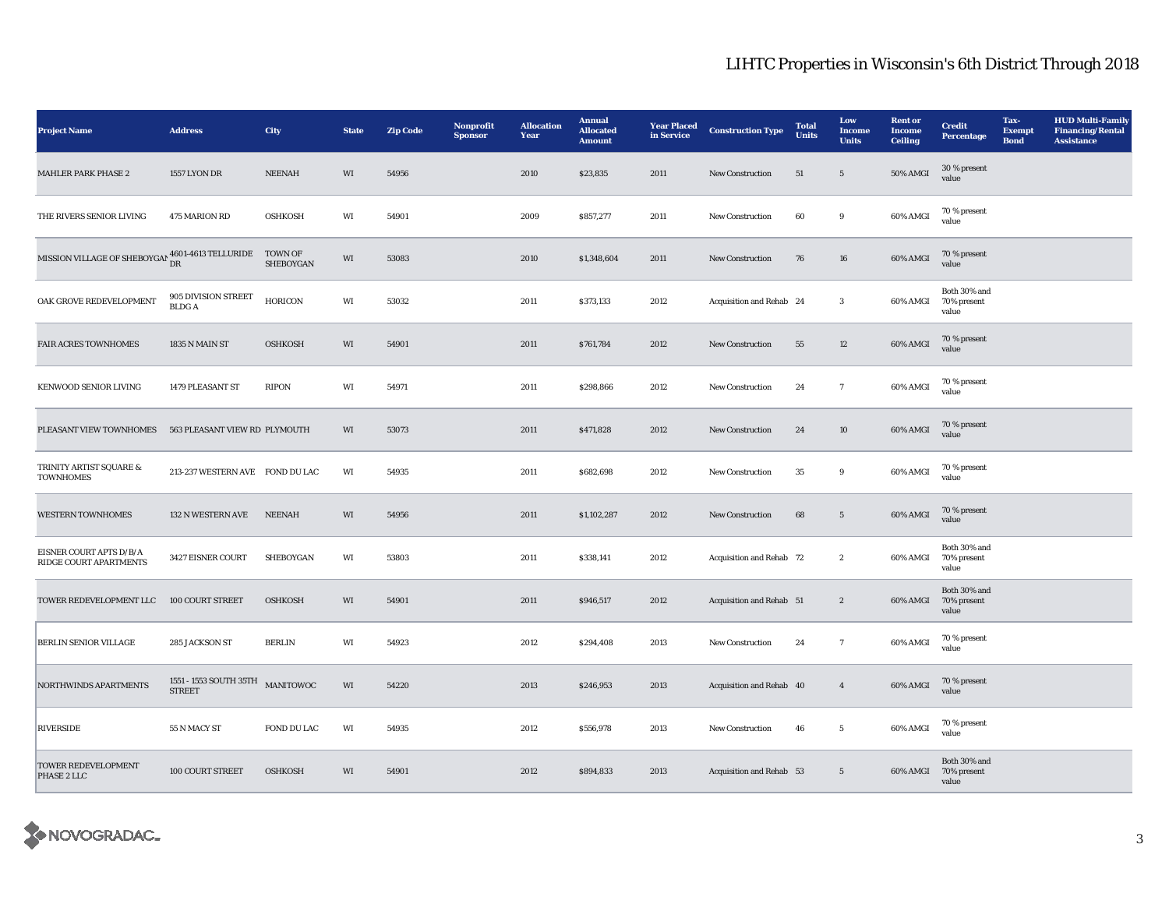| <b>Project Name</b>                                                              | <b>Address</b>                                    | <b>City</b>                 | <b>State</b> | <b>Zip Code</b> | Nonprofit<br><b>Sponsor</b> | <b>Allocation</b><br>Year | <b>Annual</b><br><b>Allocated</b><br><b>Amount</b> | <b>Year Placed</b><br>in Service | <b>Construction Type</b> | <b>Total</b><br><b>Units</b> | Low<br>Income<br><b>Units</b> | <b>Rent</b> or<br><b>Income</b><br><b>Ceiling</b> | <b>Credit</b><br><b>Percentage</b>            | Tax-<br><b>Exempt</b><br><b>Bond</b> | <b>HUD Multi-Family</b><br><b>Financing/Rental</b><br><b>Assistance</b> |
|----------------------------------------------------------------------------------|---------------------------------------------------|-----------------------------|--------------|-----------------|-----------------------------|---------------------------|----------------------------------------------------|----------------------------------|--------------------------|------------------------------|-------------------------------|---------------------------------------------------|-----------------------------------------------|--------------------------------------|-------------------------------------------------------------------------|
| <b>MAHLER PARK PHASE 2</b>                                                       | <b>1557 LYON DR</b>                               | <b>NEENAH</b>               | WI           | 54956           |                             | 2010                      | \$23,835                                           | 2011                             | New Construction         | $51\,$                       | $\sqrt{5}$                    | <b>50% AMGI</b>                                   | 30 % present<br>value                         |                                      |                                                                         |
| THE RIVERS SENIOR LIVING                                                         | <b>475 MARION RD</b>                              | <b>OSHKOSH</b>              | WI           | 54901           |                             | 2009                      | \$857,277                                          | 2011                             | <b>New Construction</b>  | 60                           | $\boldsymbol{9}$              | 60% AMGI                                          | 70 % present<br>value                         |                                      |                                                                         |
| MISSION VILLAGE OF SHEBOYGAN $^{4601\text{-}4613\text{ TELLURIDE}}_{\text{ DR}}$ |                                                   | <b>TOWN OF</b><br>SHEBOYGAN | WI           | 53083           |                             | 2010                      | \$1,348,604                                        | 2011                             | <b>New Construction</b>  | 76                           | 16                            | 60% AMGI                                          | 70 % present<br>value                         |                                      |                                                                         |
| OAK GROVE REDEVELOPMENT                                                          | 905 DIVISION STREET<br><b>BLDGA</b>               | <b>HORICON</b>              | WI           | 53032           |                             | 2011                      | \$373,133                                          | 2012                             | Acquisition and Rehab 24 |                              | $\mathbf{3}$                  | 60% AMGI                                          | Both 30% and<br>70% present<br>value          |                                      |                                                                         |
| <b>FAIR ACRES TOWNHOMES</b>                                                      | 1835 N MAIN ST                                    | <b>OSHKOSH</b>              | WI           | 54901           |                             | 2011                      | \$761,784                                          | 2012                             | <b>New Construction</b>  | 55                           | 12                            | 60% AMGI                                          | 70 % present<br>value                         |                                      |                                                                         |
| KENWOOD SENIOR LIVING                                                            | 1479 PLEASANT ST                                  | RIPON                       | WI           | 54971           |                             | 2011                      | \$298,866                                          | 2012                             | <b>New Construction</b>  | 24                           | $\tau$                        | 60% AMGI                                          | 70 % present<br>value                         |                                      |                                                                         |
| PLEASANT VIEW TOWNHOMES                                                          | 563 PLEASANT VIEW RD PLYMOUTH                     |                             | WI           | 53073           |                             | 2011                      | \$471,828                                          | 2012                             | <b>New Construction</b>  | 24                           | 10                            | 60% AMGI                                          | 70 % present<br>value                         |                                      |                                                                         |
| TRINITY ARTIST SQUARE &<br><b>TOWNHOMES</b>                                      | 213-237 WESTERN AVE FOND DU LAC                   |                             | WI           | 54935           |                             | 2011                      | \$682,698                                          | 2012                             | New Construction         | 35                           | 9                             | 60% AMGI                                          | 70 % present<br>value                         |                                      |                                                                         |
| <b>WESTERN TOWNHOMES</b>                                                         | 132 N WESTERN AVE                                 | <b>NEENAH</b>               | WI           | 54956           |                             | 2011                      | \$1,102,287                                        | 2012                             | New Construction         | 68                           | $5\phantom{.0}$               | 60% AMGI                                          | 70 % present<br>value                         |                                      |                                                                         |
| EISNER COURT APTS D/B/A<br>RIDGE COURT APARTMENTS                                | 3427 EISNER COURT                                 | <b>SHEBOYGAN</b>            | WI           | 53803           |                             | 2011                      | \$338,141                                          | 2012                             | Acquisition and Rehab 72 |                              | $\mathbf{2}$                  | 60% AMGI                                          | Both 30% and<br>70% present<br>value          |                                      |                                                                         |
| TOWER REDEVELOPMENT LLC                                                          | 100 COURT STREET                                  | <b>OSHKOSH</b>              | WI           | 54901           |                             | 2011                      | \$946,517                                          | 2012                             | Acquisition and Rehab 51 |                              | $\boldsymbol{2}$              | 60% AMGI                                          | Both 30% and<br>70% present<br>value          |                                      |                                                                         |
| BERLIN SENIOR VILLAGE                                                            | 285 JACKSON ST                                    | <b>BERLIN</b>               | WI           | 54923           |                             | 2012                      | \$294,408                                          | 2013                             | New Construction         | 24                           | $7\phantom{.0}$               | 60% AMGI                                          | 70 % present<br>value                         |                                      |                                                                         |
| NORTHWINDS APARTMENTS                                                            | 1551 - 1553 SOUTH 35TH MANITOWOC<br><b>STREET</b> |                             | WI           | 54220           |                             | 2013                      | \$246,953                                          | 2013                             | Acquisition and Rehab 40 |                              | $\overline{4}$                | 60% AMGI                                          | 70 % present<br>value                         |                                      |                                                                         |
| <b>RIVERSIDE</b>                                                                 | 55 N MACY ST                                      | FOND DU LAC                 | WI           | 54935           |                             | 2012                      | \$556,978                                          | 2013                             | New Construction         | 46                           | $5\phantom{.0}$               | 60% AMGI                                          | 70 % present<br>value                         |                                      |                                                                         |
| TOWER REDEVELOPMENT<br>PHASE 2 LLC                                               | 100 COURT STREET                                  | <b>OSHKOSH</b>              | WI           | 54901           |                             | 2012                      | \$894,833                                          | 2013                             | Acquisition and Rehab 53 |                              | $5\overline{ }$               |                                                   | Both 30% and<br>60% AMGI 70% present<br>value |                                      |                                                                         |

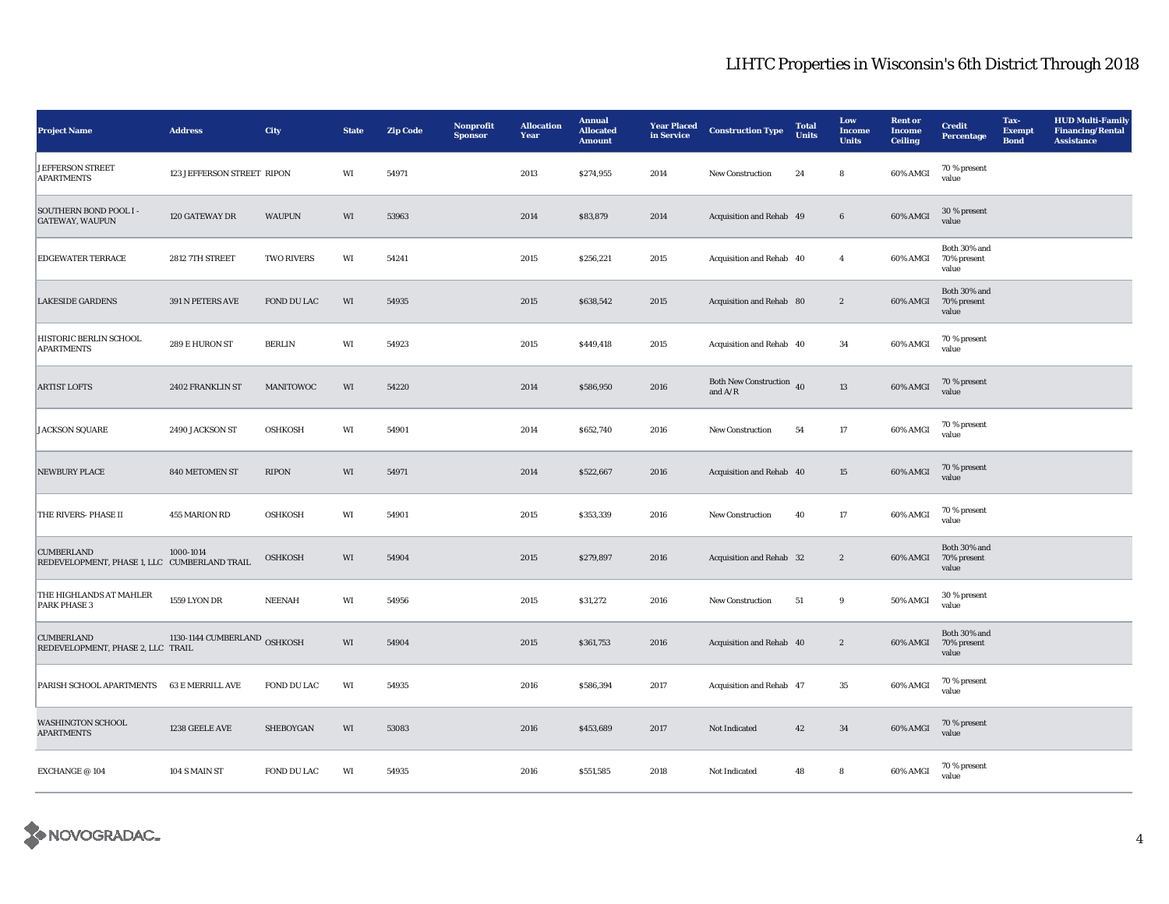| <b>Project Name</b>                                               | <b>Address</b>               | City              | <b>State</b> | <b>Zip Code</b> | Nonprofit<br><b>Sponsor</b> | <b>Allocation</b><br>Year | <b>Annual</b><br><b>Allocated</b><br><b>Amount</b> | <b>Year Placed</b><br>in Service | <b>Construction Type</b>              | <b>Total</b><br><b>Units</b> | Low<br><b>Income</b><br><b>Units</b> | <b>Rent</b> or<br><b>Income</b><br><b>Ceiling</b> | <b>Credit</b><br><b>Percentage</b>      | Tax-<br><b>Exempt</b><br><b>Bond</b> | <b>HUD Multi-Family</b><br><b>Financing/Rental</b><br><b>Assistance</b> |
|-------------------------------------------------------------------|------------------------------|-------------------|--------------|-----------------|-----------------------------|---------------------------|----------------------------------------------------|----------------------------------|---------------------------------------|------------------------------|--------------------------------------|---------------------------------------------------|-----------------------------------------|--------------------------------------|-------------------------------------------------------------------------|
| <b>JEFFERSON STREET</b><br><b>APARTMENTS</b>                      | 123 JEFFERSON STREET RIPON   |                   | WI           | 54971           |                             | 2013                      | \$274,955                                          | 2014                             | New Construction                      | 24                           | ${\bf 8}$                            | 60% AMGI                                          | 70 % present<br>value                   |                                      |                                                                         |
| <b>SOUTHERN BOND POOL I-</b><br><b>GATEWAY, WAUPUN</b>            | 120 GATEWAY DR               | <b>WAUPUN</b>     | WI           | 53963           |                             | 2014                      | \$83,879                                           | 2014                             | Acquisition and Rehab 49              |                              | $\bf 6$                              | 60% AMGI                                          | 30 % present<br>value                   |                                      |                                                                         |
| <b>EDGEWATER TERRACE</b>                                          | 2812 7TH STREET              | <b>TWO RIVERS</b> | WI           | 54241           |                             | 2015                      | \$256,221                                          | 2015                             | Acquisition and Rehab 40              |                              | $\overline{4}$                       | 60% AMGI                                          | Both 30% and<br>70% present<br>value    |                                      |                                                                         |
| <b>LAKESIDE GARDENS</b>                                           | 391 N PETERS AVE             | FOND DU LAC       | WI           | 54935           |                             | 2015                      | \$638,542                                          | 2015                             | Acquisition and Rehab 80              |                              | $\boldsymbol{2}$                     | 60% AMGI                                          | Both 30% and<br>70% present<br>value    |                                      |                                                                         |
| HISTORIC BERLIN SCHOOL<br><b>APARTMENTS</b>                       | 289 E HURON ST               | <b>BERLIN</b>     | WI           | 54923           |                             | 2015                      | \$449,418                                          | 2015                             | Acquisition and Rehab 40              |                              | 34                                   | 60% AMGI                                          | 70 % present<br>value                   |                                      |                                                                         |
| <b>ARTIST LOFTS</b>                                               | 2402 FRANKLIN ST             | MANITOWOC         | WI           | 54220           |                             | 2014                      | \$586,950                                          | 2016                             | Both New Construction 40<br>and $A/R$ |                              | 13                                   | 60% AMGI                                          | 70 % present<br>value                   |                                      |                                                                         |
| <b>JACKSON SQUARE</b>                                             | 2490 JACKSON ST              | <b>OSHKOSH</b>    | WI           | 54901           |                             | 2014                      | \$652,740                                          | 2016                             | <b>New Construction</b>               | 54                           | 17                                   | 60% AMGI                                          | 70 % present<br>value                   |                                      |                                                                         |
| <b>NEWBURY PLACE</b>                                              | 840 METOMEN ST               | <b>RIPON</b>      | WI           | 54971           |                             | 2014                      | \$522,667                                          | 2016                             | Acquisition and Rehab 40              |                              | 15                                   | 60% AMGI                                          | 70 % present<br>value                   |                                      |                                                                         |
| THE RIVERS-PHASE II                                               | 455 MARION RD                | <b>OSHKOSH</b>    | WI           | 54901           |                             | 2015                      | \$353,339                                          | 2016                             | New Construction                      | 40                           | 17                                   | 60% AMGI                                          | 70 % present<br>value                   |                                      |                                                                         |
| <b>CUMBERLAND</b><br>REDEVELOPMENT, PHASE 1, LLC CUMBERLAND TRAIL | 1000-1014                    | <b>OSHKOSH</b>    | WI           | 54904           |                             | 2015                      | \$279,897                                          | 2016                             | Acquisition and Rehab 32              |                              | $\boldsymbol{2}$                     | 60% AMGI                                          | Both 30% and<br>70% present<br>value    |                                      |                                                                         |
| THE HIGHLANDS AT MAHLER<br><b>PARK PHASE 3</b>                    | 1559 LYON DR                 | <b>NEENAH</b>     | WI           | 54956           |                             | 2015                      | \$31,272                                           | 2016                             | <b>New Construction</b>               | 51                           | 9                                    | 50% AMGI                                          | 30 % present<br>value                   |                                      |                                                                         |
| <b>CUMBERLAND</b><br>REDEVELOPMENT, PHASE 2, LLC TRAIL            | 1130-1144 CUMBERLAND OSHKOSH |                   | WI           | 54904           |                             | 2015                      | \$361,753                                          | 2016                             | Acquisition and Rehab 40              |                              | $\mathbf{2}$                         | 60% AMGI                                          | Both $30\%$ and<br>70% present<br>value |                                      |                                                                         |
| PARISH SCHOOL APARTMENTS                                          | 63 E MERRILL AVE             | FOND DU LAC       | WI           | 54935           |                             | 2016                      | \$586,394                                          | 2017                             | Acquisition and Rehab 47              |                              | 35                                   | 60% AMGI                                          | 70 % present<br>value                   |                                      |                                                                         |
| <b>WASHINGTON SCHOOL</b><br><b>APARTMENTS</b>                     | 1238 GEELE AVE               | SHEBOYGAN         | WI           | 53083           |                             | 2016                      | \$453,689                                          | 2017                             | Not Indicated                         | 42                           | $\bf{34}$                            | $60\%$ AMGI                                       | 70 % present<br>value                   |                                      |                                                                         |
| EXCHANGE $\oslash$ 104                                            | 104 S MAIN ST                | FOND DU LAC       | WI           | 54935           |                             | 2016                      | \$551,585                                          | 2018                             | Not Indicated                         | 48                           | $\bf8$                               | 60% AMGI                                          | 70 % present<br>value                   |                                      |                                                                         |

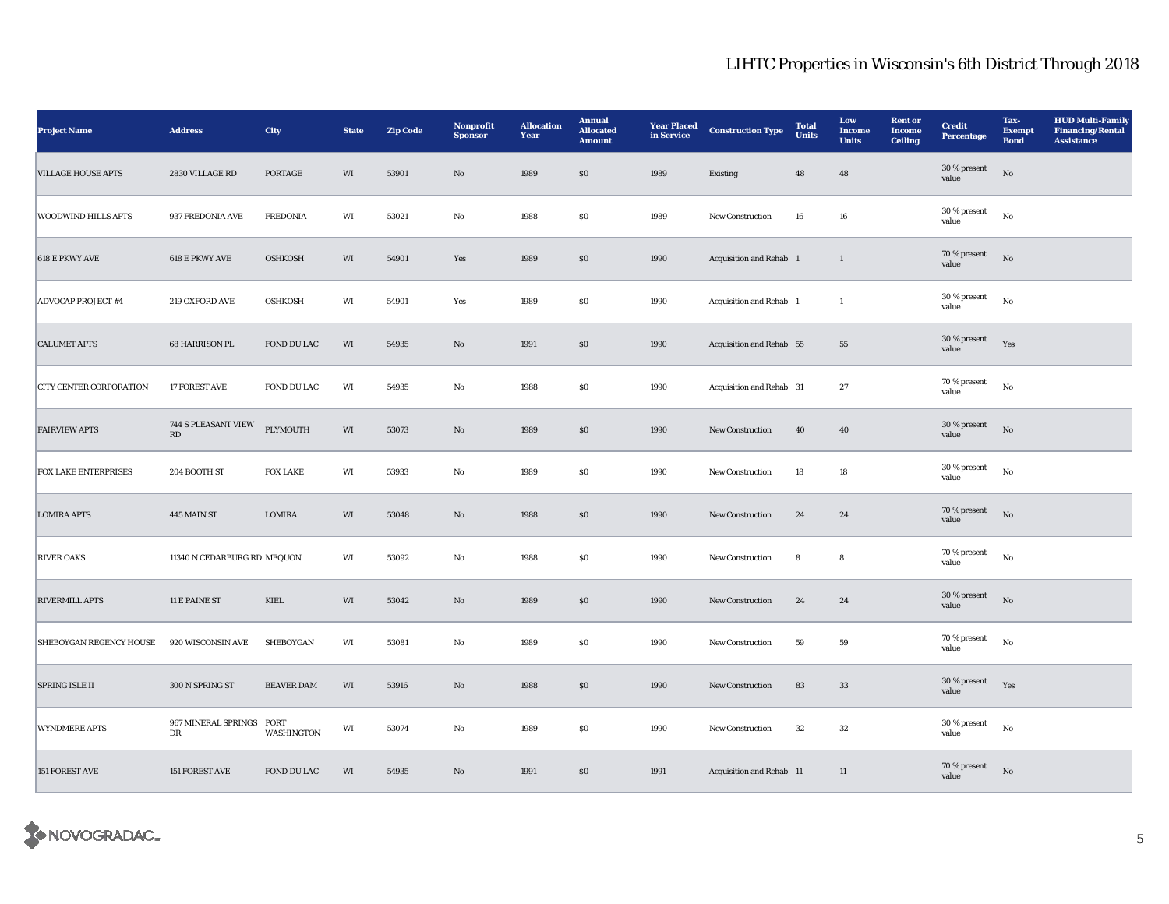| <b>Project Name</b>            | $\large\bf Address$                           | <b>City</b>           | <b>State</b>           | <b>Zip Code</b> | Nonprofit<br><b>Sponsor</b> | <b>Allocation</b><br>Year | <b>Annual</b><br><b>Allocated</b><br><b>Amount</b> | <b>Year Placed</b><br>in Service | <b>Construction Type</b>       | <b>Total</b><br><b>Units</b> | Low<br><b>Income</b><br><b>Units</b> | <b>Rent or</b><br><b>Income</b><br><b>Ceiling</b> | <b>Credit</b><br><b>Percentage</b> | Tax-<br><b>Exempt</b><br><b>Bond</b> | <b>HUD Multi-Family</b><br><b>Financing/Rental</b><br><b>Assistance</b> |
|--------------------------------|-----------------------------------------------|-----------------------|------------------------|-----------------|-----------------------------|---------------------------|----------------------------------------------------|----------------------------------|--------------------------------|------------------------------|--------------------------------------|---------------------------------------------------|------------------------------------|--------------------------------------|-------------------------------------------------------------------------|
| <b>VILLAGE HOUSE APTS</b>      | 2830 VILLAGE RD                               | PORTAGE               | WI                     | 53901           | No                          | 1989                      | \$0                                                | 1989                             | Existing                       | 48                           | 48                                   |                                                   | 30 % present<br>value              | No                                   |                                                                         |
| <b>WOODWIND HILLS APTS</b>     | 937 FREDONIA AVE                              | <b>FREDONIA</b>       | WI                     | 53021           | No                          | 1988                      | $\$0$                                              | 1989                             | <b>New Construction</b>        | 16                           | 16                                   |                                                   | 30 % present<br>value              | $_{\rm No}$                          |                                                                         |
| <b>618 E PKWY AVE</b>          | 618 E PKWY AVE                                | <b>OSHKOSH</b>        | WI                     | 54901           | Yes                         | 1989                      | $\$0$                                              | 1990                             | <b>Acquisition and Rehab</b> 1 |                              | $\mathbf{1}$                         |                                                   | 70 % present<br>value              | $_{\rm No}$                          |                                                                         |
| <b>ADVOCAP PROJECT #4</b>      | 219 OXFORD AVE                                | <b>OSHKOSH</b>        | WI                     | 54901           | Yes                         | 1989                      | ${\bf S0}$                                         | 1990                             | Acquisition and Rehab 1        |                              | $\mathbf{1}$                         |                                                   | 30 % present<br>value              | $_{\rm No}$                          |                                                                         |
| <b>CALUMET APTS</b>            | 68 HARRISON PL                                | FOND DU LAC           | WI                     | 54935           | $\rm No$                    | 1991                      | ${\bf S0}$                                         | 1990                             | Acquisition and Rehab 55       |                              | ${\bf 55}$                           |                                                   | 30 % present<br>value              | Yes                                  |                                                                         |
| <b>CITY CENTER CORPORATION</b> | 17 FOREST AVE                                 | FOND DU LAC           | WI                     | 54935           | No                          | 1988                      | $\$0$                                              | 1990                             | Acquisition and Rehab 31       |                              | 27                                   |                                                   | 70 % present<br>value              | No                                   |                                                                         |
| <b>FAIRVIEW APTS</b>           | 744 S PLEASANT VIEW<br>$\mathbf{R}\mathbf{D}$ | PLYMOUTH              | WI                     | 53073           | $\mathbf{N}\mathbf{o}$      | 1989                      | \$0                                                | 1990                             | <b>New Construction</b>        | 40                           | 40                                   |                                                   | 30 % present<br>value              | No                                   |                                                                         |
| <b>FOX LAKE ENTERPRISES</b>    | 204 BOOTH ST                                  | <b>FOX LAKE</b>       | WI                     | 53933           | No                          | 1989                      | S <sub>0</sub>                                     | 1990                             | <b>New Construction</b>        | 18                           | 18                                   |                                                   | 30 % present<br>value              | $_{\rm No}$                          |                                                                         |
| <b>LOMIRA APTS</b>             | 445 MAIN ST                                   | <b>LOMIRA</b>         | WI                     | 53048           | No                          | 1988                      | \$0                                                | 1990                             | <b>New Construction</b>        | 24                           | 24                                   |                                                   | 70 % present<br>value              | $_{\rm No}$                          |                                                                         |
| <b>RIVER OAKS</b>              | 11340 N CEDARBURG RD MEQUON                   |                       | WI                     | 53092           | $\rm No$                    | 1988                      | $\$0$                                              | 1990                             | New Construction               | ${\bf 8}$                    | ${\bf 8}$                            |                                                   | 70 % present<br>value              | $_{\rm No}$                          |                                                                         |
| RIVERMILL APTS                 | 11 E PAINE ST                                 | $\operatorname{KIEL}$ | $\mathbf{W}\mathbf{I}$ | 53042           | $\rm No$                    | 1989                      | $\$0$                                              | 1990                             | New Construction               | 24                           | ${\bf 24}$                           |                                                   | 30 % present<br>value              | $_{\rm No}$                          |                                                                         |
| SHEBOYGAN REGENCY HOUSE        | 920 WISCONSIN AVE                             | SHEBOYGAN             | WI                     | 53081           | No                          | 1989                      | $\$0$                                              | 1990                             | <b>New Construction</b>        | 59                           | ${\bf 59}$                           |                                                   | 70 % present<br>value              | $_{\rm No}$                          |                                                                         |
| SPRING ISLE II                 | 300 N SPRING ST                               | <b>BEAVER DAM</b>     | WI                     | 53916           | No                          | 1988                      | \$0                                                | 1990                             | <b>New Construction</b>        | 83                           | 33                                   |                                                   | 30 % present<br>value              | Yes                                  |                                                                         |
| <b>WYNDMERE APTS</b>           | 967 MINERAL SPRINGS PORT<br>DR                | WASHINGTON            | WI                     | 53074           | No                          | 1989                      | $\$0$                                              | 1990                             | New Construction               | 32                           | 32                                   |                                                   | 30 % present<br>value              | $_{\rm No}$                          |                                                                         |
| 151 FOREST AVE                 | 151 FOREST AVE                                | FOND DU LAC           | WI                     | 54935           | No                          | 1991                      | \$0                                                | 1991                             | Acquisition and Rehab 11       |                              | $11\,$                               |                                                   | 70 % present<br>value              | $\rm No$                             |                                                                         |

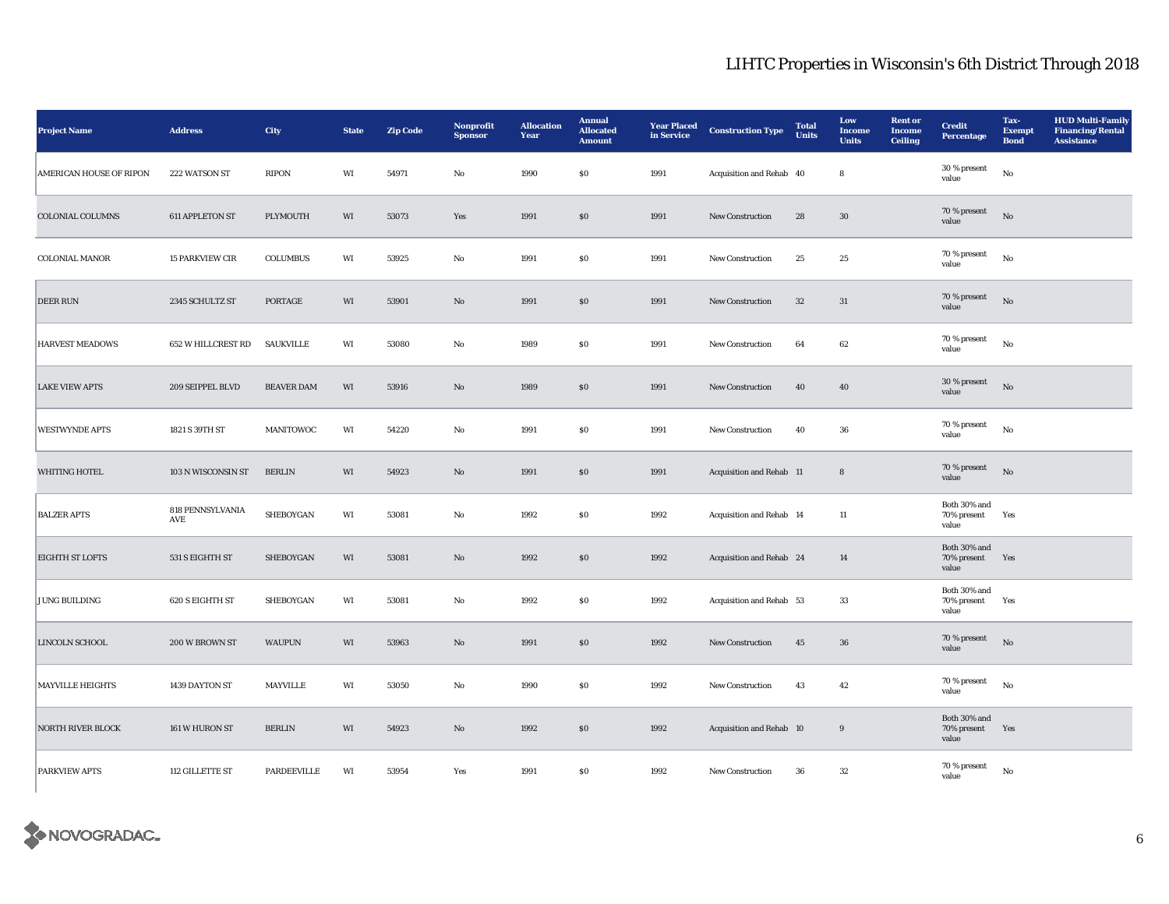| <b>Project Name</b>            | $\large\bf Address$     | City              | <b>State</b>           | <b>Zip Code</b> | Nonprofit<br><b>Sponsor</b> | <b>Allocation</b><br>Year | <b>Annual</b><br><b>Allocated</b><br><b>Amount</b> | <b>Year Placed</b><br>in Service | <b>Construction Type</b> | <b>Total</b><br><b>Units</b> | Low<br><b>Income</b><br><b>Units</b> | <b>Rent or</b><br><b>Income</b><br>Ceiling | <b>Credit</b><br><b>Percentage</b>   | Tax-<br><b>Exempt</b><br><b>Bond</b> | <b>HUD Multi-Family</b><br><b>Financing/Rental</b><br><b>Assistance</b> |
|--------------------------------|-------------------------|-------------------|------------------------|-----------------|-----------------------------|---------------------------|----------------------------------------------------|----------------------------------|--------------------------|------------------------------|--------------------------------------|--------------------------------------------|--------------------------------------|--------------------------------------|-------------------------------------------------------------------------|
| <b>AMERICAN HOUSE OF RIPON</b> | 222 WATSON ST           | <b>RIPON</b>      | WI                     | 54971           | No                          | 1990                      | $\$0$                                              | 1991                             | Acquisition and Rehab 40 |                              | ${\bf 8}$                            |                                            | 30 % present<br>value                | $_{\rm No}$                          |                                                                         |
| <b>COLONIAL COLUMNS</b>        | 611 APPLETON ST         | PLYMOUTH          | WI                     | 53073           | Yes                         | 1991                      | $\$0$                                              | 1991                             | New Construction         | 28                           | $30\,$                               |                                            | 70 % present<br>value                | $_{\rm No}$                          |                                                                         |
| <b>COLONIAL MANOR</b>          | <b>15 PARKVIEW CIR</b>  | <b>COLUMBUS</b>   | WI                     | 53925           | No                          | 1991                      | <b>SO</b>                                          | 1991                             | <b>New Construction</b>  | 25                           | 25                                   |                                            | 70 % present<br>value                | $_{\rm No}$                          |                                                                         |
| <b>DEER RUN</b>                | 2345 SCHULTZ ST         | PORTAGE           | WI                     | 53901           | $\mathbf{N}\mathbf{o}$      | 1991                      | \$0                                                | 1991                             | New Construction         | 32                           | 31                                   |                                            | 70 % present<br>value                | No                                   |                                                                         |
| <b>HARVEST MEADOWS</b>         | 652 W HILLCREST RD      | SAUKVILLE         | WI                     | 53080           | No                          | 1989                      | \$0                                                | 1991                             | <b>New Construction</b>  | 64                           | 62                                   |                                            | 70 % present<br>value                | $_{\rm No}$                          |                                                                         |
| <b>LAKE VIEW APTS</b>          | 209 SEIPPEL BLVD        | <b>BEAVER DAM</b> | WI                     | 53916           | No                          | 1989                      | $\$0$                                              | 1991                             | <b>New Construction</b>  | 40                           | 40                                   |                                            | 30 % present<br>value                | $_{\rm No}$                          |                                                                         |
| <b>WESTWYNDE APTS</b>          | 1821 S 39TH ST          | MANITOWOC         | WI                     | 54220           | No                          | 1991                      | $\$0$                                              | 1991                             | <b>New Construction</b>  | 40                           | 36                                   |                                            | 70 % present<br>value                | $_{\rm No}$                          |                                                                         |
| WHITING HOTEL                  | 103 N WISCONSIN ST      | <b>BERLIN</b>     | WI                     | 54923           | $\mathbf{N}\mathbf{o}$      | 1991                      | \$0                                                | 1991                             | Acquisition and Rehab 11 |                              | $\bf8$                               |                                            | 70 % present<br>value                | $\rm No$                             |                                                                         |
| <b>BALZER APTS</b>             | 818 PENNSYLVANIA<br>AVE | SHEBOYGAN         | WI                     | 53081           | No                          | 1992                      | \$0                                                | 1992                             | Acquisition and Rehab 14 |                              | 11                                   |                                            | Both 30% and<br>70% present<br>value | Yes                                  |                                                                         |
| <b>EIGHTH ST LOFTS</b>         | 531 S EIGHTH ST         | SHEBOYGAN         | WI                     | 53081           | $\mathbf{N}\mathbf{o}$      | 1992                      | $\$0$                                              | 1992                             | Acquisition and Rehab 24 |                              | 14                                   |                                            | Both 30% and<br>70% present<br>value | Yes                                  |                                                                         |
| <b>JUNG BUILDING</b>           | 620 S EIGHTH ST         | SHEBOYGAN         | WI                     | 53081           | No                          | 1992                      | $\$0$                                              | 1992                             | Acquisition and Rehab 53 |                              | 33                                   |                                            | Both 30% and<br>70% present<br>value | Yes                                  |                                                                         |
| LINCOLN SCHOOL                 | 200 W BROWN ST          | <b>WAUPUN</b>     | WI                     | 53963           | No                          | 1991                      | $\$0$                                              | 1992                             | New Construction         | 45                           | ${\bf 36}$                           |                                            | 70 % present<br>value                | No                                   |                                                                         |
| <b>MAYVILLE HEIGHTS</b>        | 1439 DAYTON ST          | MAYVILLE          | WI                     | 53050           | $\rm No$                    | 1990                      | $\bf{S0}$                                          | 1992                             | New Construction         | 43                           | 42                                   |                                            | 70 % present<br>value                | $_{\rm No}$                          |                                                                         |
| <b>NORTH RIVER BLOCK</b>       | 161 W HURON ST          | <b>BERLIN</b>     | WI                     | 54923           | No                          | 1992                      | \$0                                                | 1992                             | Acquisition and Rehab 10 |                              | $9\,$                                |                                            | Both 30% and<br>70% present<br>value | Yes                                  |                                                                         |
| <b>PARKVIEW APTS</b>           | 112 GILLETTE ST         | PARDEEVILLE       | $\mathbf{W}\mathbf{I}$ | 53954           | Yes                         | 1991                      | $\$0$                                              | 1992                             | New Construction         | 36                           | $32\,$                               |                                            | 70 % present<br>value                | $_{\rm No}$                          |                                                                         |

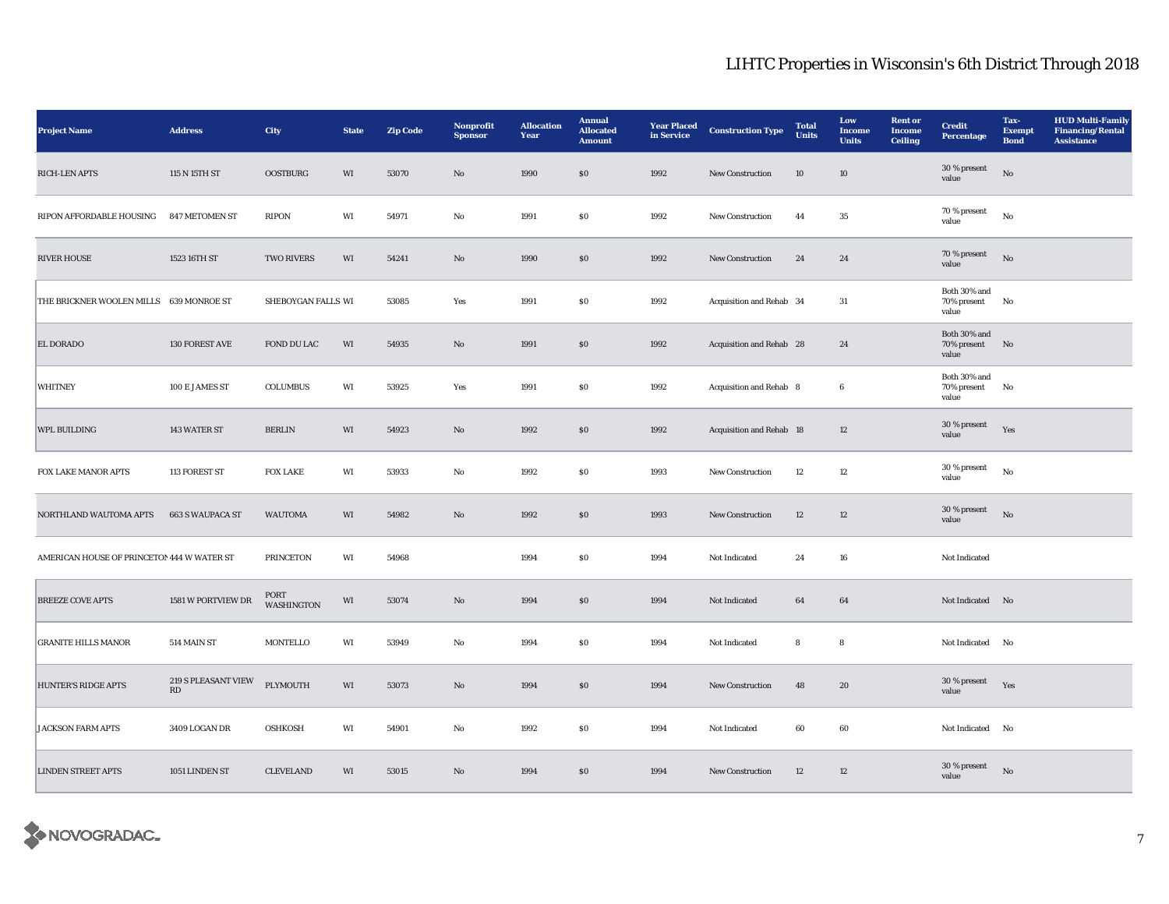| <b>Project Name</b>                        | <b>Address</b>                                | City                      | <b>State</b> | <b>Zip Code</b> | <b>Nonprofit</b><br><b>Sponsor</b> | <b>Allocation</b><br>Year | <b>Annual</b><br><b>Allocated</b><br><b>Amount</b> | <b>Year Placed</b><br>in Service | <b>Construction Type</b>        | <b>Total</b><br>Units | Low<br>Income<br><b>Units</b> | <b>Rent or</b><br><b>Income</b><br><b>Ceiling</b> | <b>Credit</b><br><b>Percentage</b>   | Tax-<br><b>Exempt</b><br><b>Bond</b> | <b>HUD Multi-Family</b><br><b>Financing/Rental</b><br><b>Assistance</b> |
|--------------------------------------------|-----------------------------------------------|---------------------------|--------------|-----------------|------------------------------------|---------------------------|----------------------------------------------------|----------------------------------|---------------------------------|-----------------------|-------------------------------|---------------------------------------------------|--------------------------------------|--------------------------------------|-------------------------------------------------------------------------|
| RICH-LEN APTS                              | 115 N 15TH ST                                 | <b>OOSTBURG</b>           | WI           | 53070           | $\mathbf{No}$                      | 1990                      | $\$0$                                              | 1992                             | New Construction                | 10                    | 10                            |                                                   | 30 % present<br>value                | No                                   |                                                                         |
| RIPON AFFORDABLE HOUSING                   | 847 METOMEN ST                                | <b>RIPON</b>              | WI           | 54971           | No                                 | 1991                      | <b>SO</b>                                          | 1992                             | New Construction                | 44                    | 35                            |                                                   | 70 % present<br>value                | No                                   |                                                                         |
| <b>RIVER HOUSE</b>                         | 1523 16TH ST                                  | TWO RIVERS                | WI           | 54241           | $\mathbf{N}\mathbf{o}$             | 1990                      | \$0                                                | 1992                             | New Construction                | 24                    | 24                            |                                                   | 70 % present<br>value                | $_{\rm No}$                          |                                                                         |
| THE BRICKNER WOOLEN MILLS 639 MONROE ST    |                                               | SHEBOYGAN FALLS WI        |              | 53085           | Yes                                | 1991                      | S <sub>0</sub>                                     | 1992                             | Acquisition and Rehab 34        |                       | 31                            |                                                   | Both 30% and<br>70% present<br>value | No                                   |                                                                         |
| <b>EL DORADO</b>                           | 130 FOREST AVE                                | FOND DU LAC               | WI           | 54935           | No                                 | 1991                      | $\boldsymbol{\mathsf{S}}\boldsymbol{\mathsf{O}}$   | 1992                             | Acquisition and Rehab 28        |                       | 24                            |                                                   | Both 30% and<br>70% present<br>value | No                                   |                                                                         |
| <b>WHITNEY</b>                             | 100 E JAMES ST                                | COLUMBUS                  | WI           | 53925           | Yes                                | 1991                      | ${\bf S0}$                                         | 1992                             | Acquisition and Rehab 8         |                       | $\bf 6$                       |                                                   | Both 30% and<br>70% present<br>value | $\mathbf{N}\mathbf{o}$               |                                                                         |
| WPL BUILDING                               | 143 WATER ST                                  | <b>BERLIN</b>             | WI           | 54923           | $\mathbf{N}\mathbf{o}$             | 1992                      | $\$0$                                              | 1992                             | <b>Acquisition and Rehab 18</b> |                       | 12                            |                                                   | 30 % present<br>value                | Yes                                  |                                                                         |
| FOX LAKE MANOR APTS                        | 113 FOREST ST                                 | <b>FOX LAKE</b>           | WI           | 53933           | No                                 | 1992                      | $\$0$                                              | 1993                             | New Construction                | 12                    | 12                            |                                                   | 30 % present<br>value                | $_{\rm No}$                          |                                                                         |
| NORTHLAND WAUTOMA APTS                     | <b>663 S WAUPACA ST</b>                       | <b>WAUTOMA</b>            | WI           | 54982           | $\mathbf{No}$                      | 1992                      | $\$0$                                              | 1993                             | New Construction                | $12\,$                | 12                            |                                                   | 30 % present<br>value                | $_{\rm No}$                          |                                                                         |
| AMERICAN HOUSE OF PRINCETON 444 W WATER ST |                                               | <b>PRINCETON</b>          | WI           | 54968           |                                    | 1994                      | \$0\$                                              | 1994                             | Not Indicated                   | 24                    | 16                            |                                                   | Not Indicated                        |                                      |                                                                         |
| <b>BREEZE COVE APTS</b>                    | 1581 W PORTVIEW DR                            | PORT<br><b>WASHINGTON</b> | WI           | 53074           | $\mathbf{N}\mathbf{o}$             | 1994                      | \$0                                                | 1994                             | Not Indicated                   | 64                    | 64                            |                                                   | Not Indicated No                     |                                      |                                                                         |
| <b>GRANITE HILLS MANOR</b>                 | 514 MAIN ST                                   | MONTELLO                  | WI           | 53949           | No                                 | 1994                      | <b>SO</b>                                          | 1994                             | Not Indicated                   | 8                     | ${\bf 8}$                     |                                                   | Not Indicated No                     |                                      |                                                                         |
| HUNTER'S RIDGE APTS                        | 219 S PLEASANT VIEW<br>$\mathbf{R}\mathbf{D}$ | PLYMOUTH                  | WI           | 53073           | $\mathbf{N}\mathbf{o}$             | 1994                      | $\$0$                                              | 1994                             | New Construction                | 48                    | ${\bf 20}$                    |                                                   | 30 % present<br>value                | Yes                                  |                                                                         |
| <b>JACKSON FARM APTS</b>                   | 3409 LOGAN DR                                 | <b>OSHKOSH</b>            | WI           | 54901           | No                                 | 1992                      | $\$0$                                              | 1994                             | Not Indicated                   | 60                    | 60                            |                                                   | Not Indicated No                     |                                      |                                                                         |
| <b>LINDEN STREET APTS</b>                  | 1051 LINDEN ST                                | <b>CLEVELAND</b>          | WI           | 53015           | No                                 | 1994                      | \$0                                                | 1994                             | <b>New Construction</b>         | 12                    | 12                            |                                                   | 30 % present<br>value                | No                                   |                                                                         |

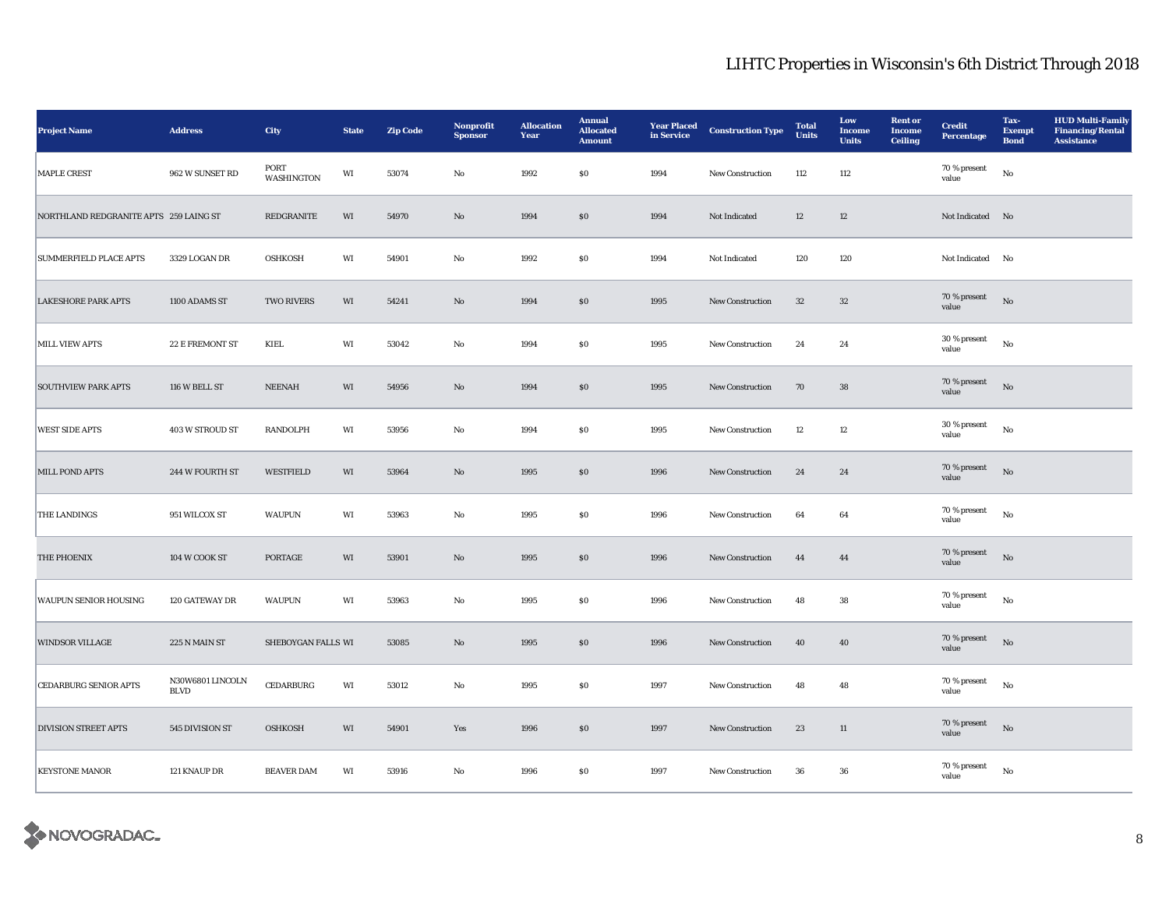| <b>Project Name</b>                    | <b>Address</b>                  | City                      | <b>State</b> | <b>Zip Code</b> | Nonprofit<br><b>Sponsor</b> | <b>Allocation</b><br>Year | <b>Annual</b><br><b>Allocated</b><br><b>Amount</b> | <b>Year Placed</b><br>in Service | <b>Construction Type</b> | <b>Total</b><br><b>Units</b> | Low<br><b>Income</b><br><b>Units</b> | <b>Rent</b> or<br><b>Income</b><br><b>Ceiling</b> | <b>Credit</b><br><b>Percentage</b> | Tax-<br><b>Exempt</b><br><b>Bond</b> | <b>HUD Multi-Family</b><br><b>Financing/Rental</b><br><b>Assistance</b> |
|----------------------------------------|---------------------------------|---------------------------|--------------|-----------------|-----------------------------|---------------------------|----------------------------------------------------|----------------------------------|--------------------------|------------------------------|--------------------------------------|---------------------------------------------------|------------------------------------|--------------------------------------|-------------------------------------------------------------------------|
| MAPLE CREST                            | 962 W SUNSET RD                 | PORT<br><b>WASHINGTON</b> | WI           | 53074           | No                          | 1992                      | $\$0$                                              | 1994                             | New Construction         | 112                          | 112                                  |                                                   | 70 % present<br>value              | $_{\rm No}$                          |                                                                         |
| NORTHLAND REDGRANITE APTS 259 LAING ST |                                 | REDGRANITE                | WI           | 54970           | No                          | 1994                      | \$0                                                | 1994                             | Not Indicated            | 12                           | 12                                   |                                                   | Not Indicated No                   |                                      |                                                                         |
| <b>SUMMERFIELD PLACE APTS</b>          | 3329 LOGAN DR                   | <b>OSHKOSH</b>            | WI           | 54901           | No                          | 1992                      | $\$0$                                              | 1994                             | Not Indicated            | 120                          | 120                                  |                                                   | Not Indicated No                   |                                      |                                                                         |
| <b>LAKESHORE PARK APTS</b>             | 1100 ADAMS ST                   | <b>TWO RIVERS</b>         | WI           | 54241           | $\rm No$                    | 1994                      | $\$0$                                              | 1995                             | New Construction         | $32\,$                       | $32\,$                               |                                                   | 70 % present<br>value              | $_{\rm No}$                          |                                                                         |
| MILL VIEW APTS                         | 22 E FREMONT ST                 | KIEL                      | WI           | 53042           | No                          | 1994                      | $\$0$                                              | 1995                             | New Construction         | 24                           | 24                                   |                                                   | 30 % present<br>value              | $_{\rm No}$                          |                                                                         |
| <b>SOUTHVIEW PARK APTS</b>             | 116 W BELL ST                   | <b>NEENAH</b>             | WI           | 54956           | $\mathbf{N}\mathbf{o}$      | 1994                      | \$0                                                | 1995                             | <b>New Construction</b>  | 70                           | 38                                   |                                                   | 70 % present<br>value              | No                                   |                                                                         |
| <b>WEST SIDE APTS</b>                  | <b>403 W STROUD ST</b>          | RANDOLPH                  | WI           | 53956           | $_{\rm No}$                 | 1994                      | $\$0$                                              | 1995                             | New Construction         | 12                           | $12\,$                               |                                                   | 30 % present<br>value              | $_{\rm No}$                          |                                                                         |
| MILL POND APTS                         | 244 W FOURTH ST                 | <b>WESTFIELD</b>          | WI           | 53964           | No                          | 1995                      | \$0                                                | 1996                             | New Construction         | 24                           | 24                                   |                                                   | 70 % present<br>value              | $\mathbf{N}\mathbf{o}$               |                                                                         |
| <b>THE LANDINGS</b>                    | 951 WILCOX ST                   | <b>WAUPUN</b>             | WI           | 53963           | No                          | 1995                      | $\$0$                                              | 1996                             | <b>New Construction</b>  | 64                           | 64                                   |                                                   | $70\,\%$ present<br>value          | $_{\rm No}$                          |                                                                         |
| THE PHOENIX                            | 104 W COOK ST                   | PORTAGE                   | WI           | 53901           | No                          | 1995                      | $\$0$                                              | 1996                             | New Construction         | 44                           | 44                                   |                                                   | 70 % present<br>value              | No                                   |                                                                         |
| <b>WAUPUN SENIOR HOUSING</b>           | 120 GATEWAY DR                  | <b>WAUPUN</b>             | WI           | 53963           | No                          | 1995                      | \$0                                                | 1996                             | New Construction         | 48                           | 38                                   |                                                   | 70 % present<br>value              | $_{\rm No}$                          |                                                                         |
| <b>WINDSOR VILLAGE</b>                 | 225 N MAIN ST                   | SHEBOYGAN FALLS WI        |              | 53085           | $\rm No$                    | 1995                      | $\$0$                                              | 1996                             | New Construction         | 40                           | ${\bf 40}$                           |                                                   | 70 % present<br>value              | $\rm No$                             |                                                                         |
| <b>CEDARBURG SENIOR APTS</b>           | N30W6801 LINCOLN<br><b>BLVD</b> | <b>CEDARBURG</b>          | WI           | 53012           | No                          | 1995                      | $\$0$                                              | 1997                             | New Construction         | 48                           | 48                                   |                                                   | 70 % present<br>value              | No                                   |                                                                         |
| <b>DIVISION STREET APTS</b>            | 545 DIVISION ST                 | <b>OSHKOSH</b>            | WI           | 54901           | Yes                         | 1996                      | \$0                                                | 1997                             | <b>New Construction</b>  | 23                           | 11                                   |                                                   | 70 % present<br>value              | No                                   |                                                                         |
| <b>KEYSTONE MANOR</b>                  | 121 KNAUP DR                    | <b>BEAVER DAM</b>         | WI           | 53916           | No                          | 1996                      | \$0                                                | 1997                             | <b>New Construction</b>  | 36                           | 36                                   |                                                   | $70$ % present<br>value            | No                                   |                                                                         |

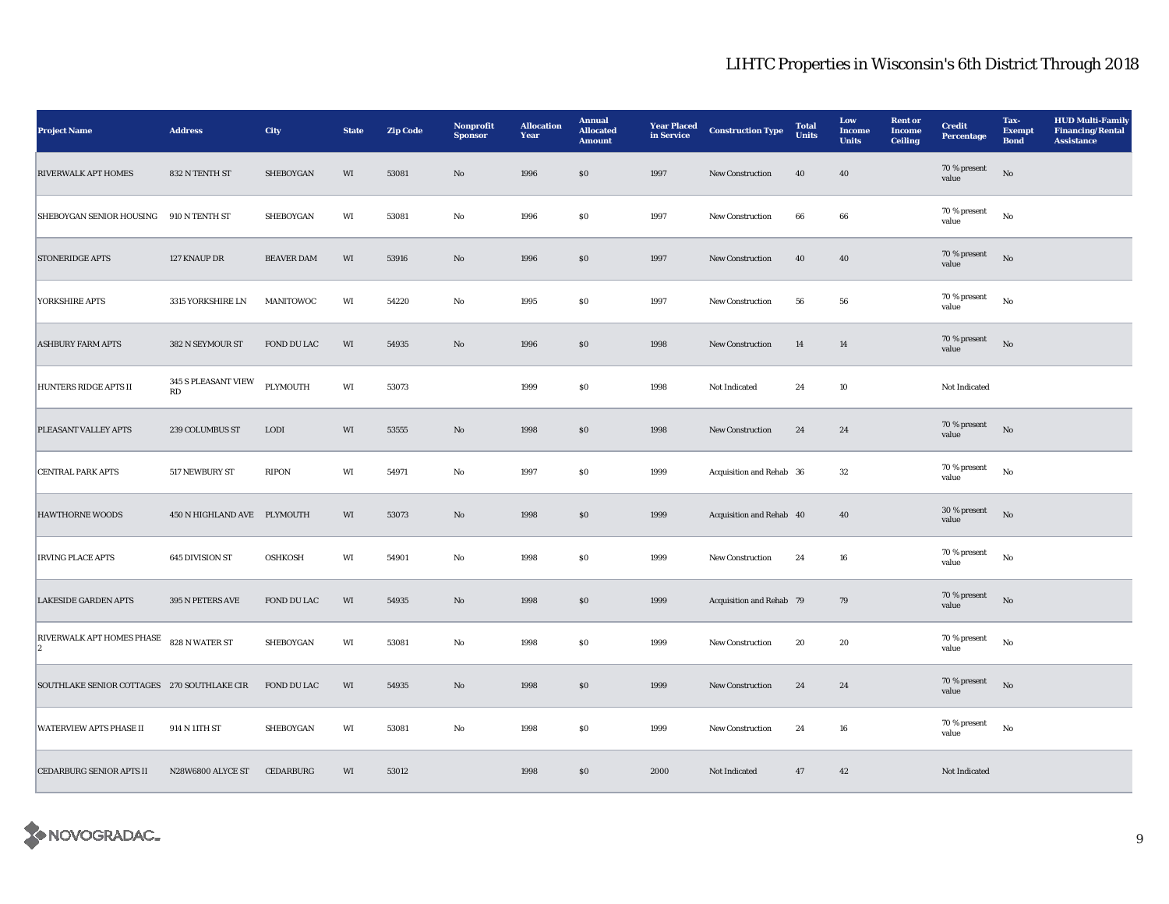| <b>Project Name</b>                             | $\large\bf Address$         | City              | <b>State</b> | <b>Zip Code</b> | Nonprofit<br><b>Sponsor</b> | <b>Allocation</b><br>Year | <b>Annual</b><br><b>Allocated</b><br><b>Amount</b> | <b>Year Placed</b><br>in Service | <b>Construction Type</b> | <b>Total</b><br><b>Units</b> | Low<br><b>Income</b><br><b>Units</b> | <b>Rent or</b><br><b>Income</b><br><b>Ceiling</b> | <b>Credit</b><br><b>Percentage</b> | Tax-<br><b>Exempt</b><br><b>Bond</b> | <b>HUD Multi-Family</b><br><b>Financing/Rental</b><br><b>Assistance</b> |
|-------------------------------------------------|-----------------------------|-------------------|--------------|-----------------|-----------------------------|---------------------------|----------------------------------------------------|----------------------------------|--------------------------|------------------------------|--------------------------------------|---------------------------------------------------|------------------------------------|--------------------------------------|-------------------------------------------------------------------------|
| <b>RIVERWALK APT HOMES</b>                      | 832 N TENTH ST              | <b>SHEBOYGAN</b>  | WI           | 53081           | No                          | 1996                      | \$0                                                | 1997                             | New Construction         | 40                           | 40                                   |                                                   | 70 % present<br>value              | No                                   |                                                                         |
| SHEBOYGAN SENIOR HOUSING                        | 910 N TENTH ST              | SHEBOYGAN         | WI           | 53081           | No                          | 1996                      | \$0                                                | 1997                             | <b>New Construction</b>  | 66                           | 66                                   |                                                   | 70 % present<br>value              | $_{\rm No}$                          |                                                                         |
| <b>STONERIDGE APTS</b>                          | 127 KNAUP DR                | <b>BEAVER DAM</b> | WI           | 53916           | No                          | 1996                      | $\$0$                                              | 1997                             | New Construction         | 40                           | 40                                   |                                                   | 70 % present<br>value              | $_{\rm No}$                          |                                                                         |
| YORKSHIRE APTS                                  | 3315 YORKSHIRE LN           | MANITOWOC         | WI           | 54220           | $\rm No$                    | 1995                      | $\$0$                                              | 1997                             | New Construction         | 56                           | ${\bf 56}$                           |                                                   | 70 % present<br>value              | $_{\rm No}$                          |                                                                         |
| <b>ASHBURY FARM APTS</b>                        | 382 N SEYMOUR ST            | FOND DU LAC       | WI           | 54935           | $\rm No$                    | 1996                      | $\$0$                                              | 1998                             | New Construction         | 14                           | 14                                   |                                                   | 70 % present<br>value              | $_{\rm No}$                          |                                                                         |
| <b>HUNTERS RIDGE APTS II</b>                    | 345 S PLEASANT VIEW<br>RD   | PLYMOUTH          | WI           | 53073           |                             | 1999                      | $\$0$                                              | 1998                             | Not Indicated            | 24                           | 10                                   |                                                   | Not Indicated                      |                                      |                                                                         |
| PLEASANT VALLEY APTS                            | 239 COLUMBUS ST             | <b>LODI</b>       | WI           | 53555           | $\mathbf{N}\mathbf{o}$      | 1998                      | \$0                                                | 1998                             | <b>New Construction</b>  | 24                           | 24                                   |                                                   | 70 % present<br>value              | No                                   |                                                                         |
| <b>CENTRAL PARK APTS</b>                        | 517 NEWBURY ST              | <b>RIPON</b>      | WI           | 54971           | No                          | 1997                      | \$0                                                | 1999                             | Acquisition and Rehab 36 |                              | 32                                   |                                                   | 70 % present<br>value              | $_{\rm No}$                          |                                                                         |
| <b>HAWTHORNE WOODS</b>                          | 450 N HIGHLAND AVE PLYMOUTH |                   | WI           | 53073           | No                          | 1998                      | \$0                                                | 1999                             | Acquisition and Rehab 40 |                              | 40                                   |                                                   | 30 % present<br>value              | No                                   |                                                                         |
| <b>IRVING PLACE APTS</b>                        | 645 DIVISION ST             | <b>OSHKOSH</b>    | WI           | 54901           | No                          | 1998                      | $\$0$                                              | 1999                             | New Construction         | 24                           | ${\bf 16}$                           |                                                   | 70 % present<br>value              | $_{\rm No}$                          |                                                                         |
| <b>LAKESIDE GARDEN APTS</b>                     | 395 N PETERS AVE            | FOND DU LAC       | WI           | 54935           | $\rm No$                    | 1998                      | $\$0$                                              | 1999                             | Acquisition and Rehab 79 |                              | 79                                   |                                                   | 70 % present<br>value              | $_{\rm No}$                          |                                                                         |
| <b>RIVERWALK APT HOMES PHASE</b><br>$ 2\rangle$ | 828 N WATER ST              | <b>SHEBOYGAN</b>  | WI           | 53081           | No                          | 1998                      | $\$0$                                              | 1999                             | <b>New Construction</b>  | 20                           | 20                                   |                                                   | 70 % present<br>value              | $_{\rm No}$                          |                                                                         |
| SOUTHLAKE SENIOR COTTAGES 270 SOUTHLAKE CIR     |                             | FOND DU LAC       | WI           | 54935           | No                          | 1998                      | \$0                                                | 1999                             | <b>New Construction</b>  | 24                           | 24                                   |                                                   | 70 % present<br>value              | No                                   |                                                                         |
| <b>WATERVIEW APTS PHASE II</b>                  | 914 N 11TH ST               | SHEBOYGAN         | WI           | 53081           | No                          | 1998                      | $\$0$                                              | 1999                             | <b>New Construction</b>  | 24                           | 16                                   |                                                   | 70 % present<br>value              | $_{\rm No}$                          |                                                                         |
| <b>CEDARBURG SENIOR APTS II</b>                 | N28W6800 ALYCE ST           | <b>CEDARBURG</b>  | WI           | 53012           |                             | 1998                      | \$0                                                | 2000                             | Not Indicated            | 47                           | 42                                   |                                                   | Not Indicated                      |                                      |                                                                         |

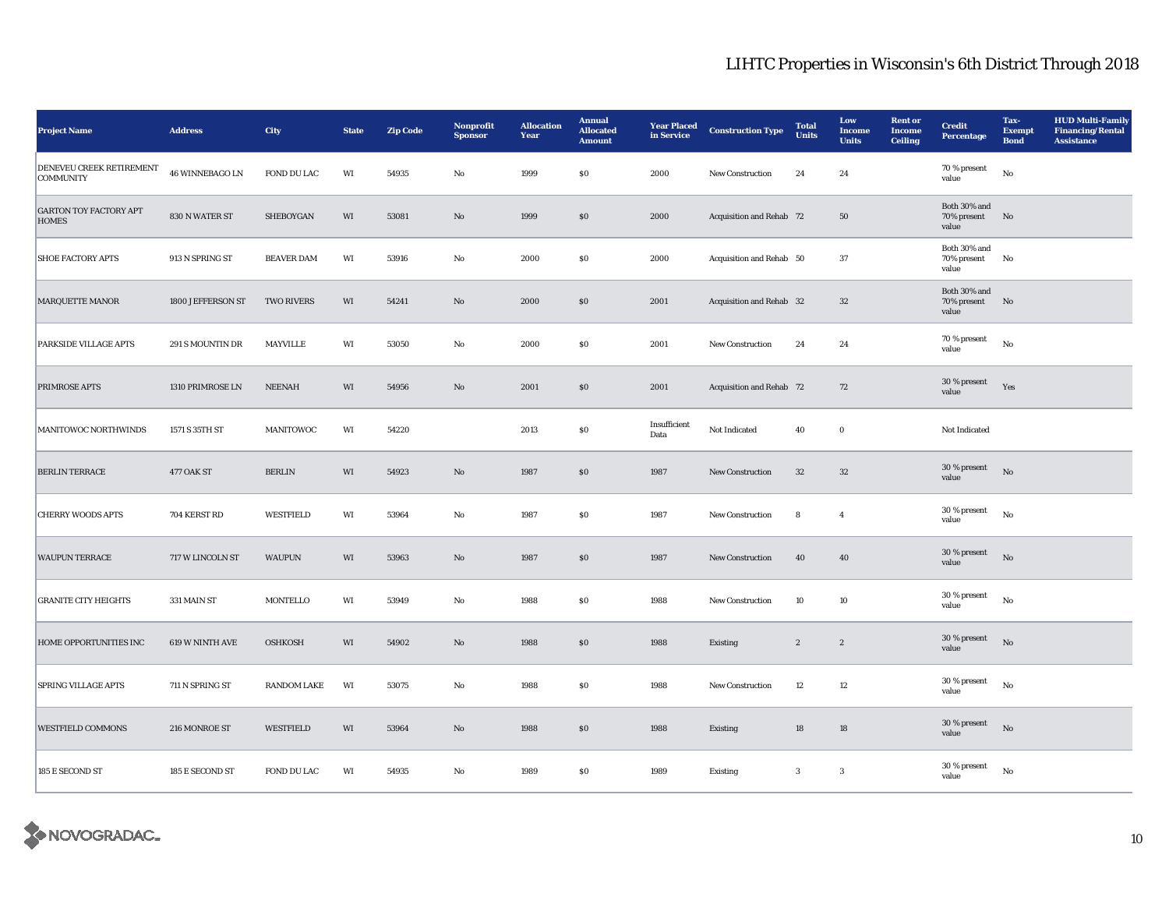| <b>Project Name</b>                           | <b>Address</b>    | City               | <b>State</b> | <b>Zip Code</b> | Nonprofit<br><b>Sponsor</b> | <b>Allocation</b><br>Year | <b>Annual</b><br><b>Allocated</b><br><b>Amount</b> | <b>Year Placed</b><br>in Service | <b>Construction Type</b> | <b>Total</b><br><b>Units</b> | Low<br><b>Income</b><br><b>Units</b> | <b>Rent</b> or<br><b>Income</b><br><b>Ceiling</b> | <b>Credit</b><br><b>Percentage</b>   | Tax-<br><b>Exempt</b><br><b>Bond</b> | <b>HUD Multi-Family</b><br><b>Financing/Rental</b><br><b>Assistance</b> |
|-----------------------------------------------|-------------------|--------------------|--------------|-----------------|-----------------------------|---------------------------|----------------------------------------------------|----------------------------------|--------------------------|------------------------------|--------------------------------------|---------------------------------------------------|--------------------------------------|--------------------------------------|-------------------------------------------------------------------------|
| DENEVEU CREEK RETIREMENT<br><b>COMMUNITY</b>  | 46 WINNEBAGO LN   | FOND DU LAC        | WI           | 54935           | No                          | 1999                      | $\$0$                                              | 2000                             | New Construction         | 24                           | 24                                   |                                                   | 70 % present<br>value                | No                                   |                                                                         |
| <b>GARTON TOY FACTORY APT</b><br><b>HOMES</b> | 830 N WATER ST    | SHEBOYGAN          | WI           | 53081           | No                          | 1999                      | \$0                                                | 2000                             | Acquisition and Rehab 72 |                              | 50                                   |                                                   | Both 30% and<br>70% present<br>value | N <sub>o</sub>                       |                                                                         |
| <b>SHOE FACTORY APTS</b>                      | 913 N SPRING ST   | <b>BEAVER DAM</b>  | WI           | 53916           | No                          | 2000                      | $\$0$                                              | 2000                             | Acquisition and Rehab 50 |                              | 37                                   |                                                   | Both 30% and<br>70% present<br>value | No                                   |                                                                         |
| <b>MARQUETTE MANOR</b>                        | 1800 JEFFERSON ST | <b>TWO RIVERS</b>  | WI           | 54241           | $\mathbf{N}\mathbf{o}$      | 2000                      | $\$0$                                              | 2001                             | Acquisition and Rehab 32 |                              | $32\,$                               |                                                   | Both 30% and<br>70% present<br>value | No                                   |                                                                         |
| <b>PARKSIDE VILLAGE APTS</b>                  | 291 S MOUNTIN DR  | MAYVILLE           | WI           | 53050           | $\rm No$                    | 2000                      | $\$0$                                              | 2001                             | New Construction         | 24                           | 24                                   |                                                   | 70 % present<br>value                | $_{\rm No}$                          |                                                                         |
| PRIMROSE APTS                                 | 1310 PRIMROSE LN  | <b>NEENAH</b>      | $\rm WI$     | 54956           | $\mathbf{N}\mathbf{o}$      | 2001                      | $\$0$                                              | 2001                             | Acquisition and Rehab 72 |                              | 72                                   |                                                   | 30 % present<br>value                | Yes                                  |                                                                         |
| MANITOWOC NORTHWINDS                          | 1571 S 35TH ST    | MANITOWOC          | WI           | 54220           |                             | 2013                      | $\$0$                                              | Insufficient<br>Data             | Not Indicated            | 40                           | $\mathbf 0$                          |                                                   | Not Indicated                        |                                      |                                                                         |
| <b>BERLIN TERRACE</b>                         | 477 OAK ST        | <b>BERLIN</b>      | WI           | 54923           | $\mathbf{N}\mathbf{o}$      | 1987                      | \$0                                                | 1987                             | <b>New Construction</b>  | 32                           | 32                                   |                                                   | 30 % present<br>value                | $_{\rm No}$                          |                                                                         |
| <b>CHERRY WOODS APTS</b>                      | 704 KERST RD      | WESTFIELD          | WI           | 53964           | No                          | 1987                      | $\$0$                                              | 1987                             | New Construction         | 8                            | $\overline{4}$                       |                                                   | 30 % present<br>value                | $_{\rm No}$                          |                                                                         |
| <b>WAUPUN TERRACE</b>                         | 717 W LINCOLN ST  | <b>WAUPUN</b>      | WI           | 53963           | No                          | 1987                      | \$0                                                | 1987                             | <b>New Construction</b>  | 40                           | 40                                   |                                                   | 30 % present<br>value                | No                                   |                                                                         |
| <b>GRANITE CITY HEIGHTS</b>                   | 331 MAIN ST       | MONTELLO           | WI           | 53949           | No                          | 1988                      | $\$0$                                              | 1988                             | New Construction         | 10                           | 10                                   |                                                   | 30 % present<br>value                | $_{\rm No}$                          |                                                                         |
| HOME OPPORTUNITIES INC                        | 619 W NINTH AVE   | <b>OSHKOSH</b>     | WI           | 54902           | No                          | 1988                      | \$0                                                | 1988                             | Existing                 | $\boldsymbol{2}$             | $\boldsymbol{2}$                     |                                                   | 30 % present<br>value                | $_{\rm No}$                          |                                                                         |
| <b>SPRING VILLAGE APTS</b>                    | 711 N SPRING ST   | <b>RANDOM LAKE</b> | WI           | 53075           | No                          | 1988                      | $\$0$                                              | 1988                             | New Construction         | 12                           | 12                                   |                                                   | 30 % present<br>value                | No                                   |                                                                         |
| <b>WESTFIELD COMMONS</b>                      | 216 MONROE ST     | WESTFIELD          | WI           | 53964           | $\mathbf{N}\mathbf{o}$      | 1988                      | \$0                                                | 1988                             | <b>Existing</b>          | 18                           | 18                                   |                                                   | 30 % present<br>value                | $\rm No$                             |                                                                         |
| 185 E SECOND ST                               | 185 E SECOND ST   | FOND DU LAC        | WI           | 54935           | No                          | 1989                      | \$0                                                | 1989                             | Existing                 | 3                            | 3                                    |                                                   | 30 % present<br>value                | No                                   |                                                                         |